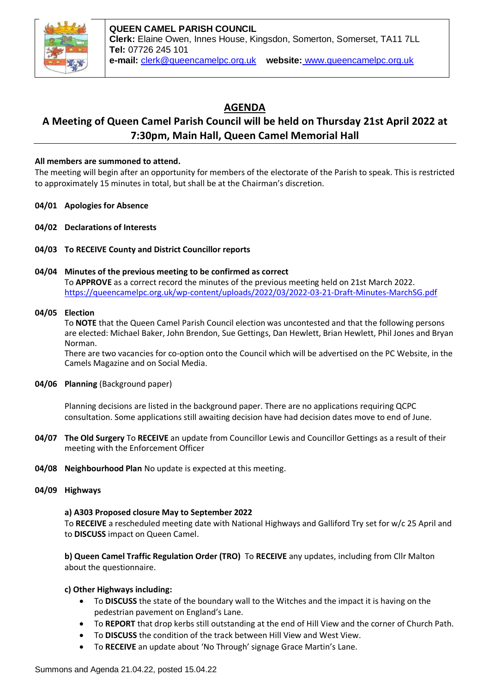

# **AGENDA**

## **A Meeting of Queen Camel Parish Council will be held on Thursday 21st April 2022 at 7:30pm, Main Hall, Queen Camel Memorial Hall**

## **All members are summoned to attend.**

The meeting will begin after an opportunity for members of the electorate of the Parish to speak. This is restricted to approximately 15 minutes in total, but shall be at the Chairman's discretion.

- **04/01 Apologies for Absence**
- **04/02 Declarations of Interests**
- **04/03 To RECEIVE County and District Councillor reports**

## **04/04 Minutes of the previous meeting to be confirmed as correct**

To **APPROVE** as a correct record the minutes of the previous meeting held on 21st March 2022. <https://queencamelpc.org.uk/wp-content/uploads/2022/03/2022-03-21-Draft-Minutes-MarchSG.pdf>

#### **04/05 Election**

To **NOTE** that the Queen Camel Parish Council election was uncontested and that the following persons are elected: Michael Baker, John Brendon, Sue Gettings, Dan Hewlett, Brian Hewlett, Phil Jones and Bryan Norman.

There are two vacancies for co-option onto the Council which will be advertised on the PC Website, in the Camels Magazine and on Social Media.

**04/06 Planning** (Background paper)

Planning decisions are listed in the background paper. There are no applications requiring QCPC consultation. Some applications still awaiting decision have had decision dates move to end of June.

- **04/07 The Old Surgery** To **RECEIVE** an update from Councillor Lewis and Councillor Gettings as a result of their meeting with the Enforcement Officer
- **04/08 Neighbourhood Plan** No update is expected at this meeting.
- **04/09 Highways**

#### **a) A303 Proposed closure May to September 2022**

To **RECEIVE** a rescheduled meeting date with National Highways and Galliford Try set for w/c 25 April and to **DISCUSS** impact on Queen Camel.

**b) Queen Camel Traffic Regulation Order (TRO)** To **RECEIVE** any updates, including from Cllr Malton about the questionnaire.

#### **c) Other Highways including:**

- To **DISCUSS** the state of the boundary wall to the Witches and the impact it is having on the pedestrian pavement on England's Lane.
- To **REPORT** that drop kerbs still outstanding at the end of Hill View and the corner of Church Path.
- To **DISCUSS** the condition of the track between Hill View and West View.
- To **RECEIVE** an update about 'No Through' signage Grace Martin's Lane.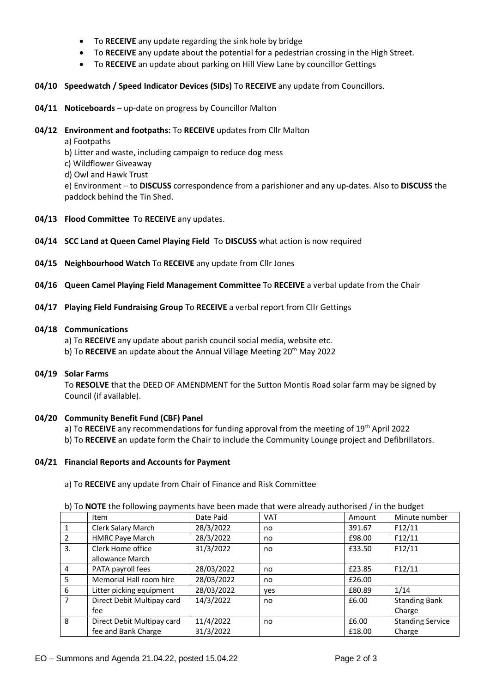- To **RECEIVE** any update regarding the sink hole by bridge
- To **RECEIVE** any update about the potential for a pedestrian crossing in the High Street.
- To **RECEIVE** an update about parking on Hill View Lane by councillor Gettings
- **04/10 Speedwatch / Speed Indicator Devices (SIDs)** To **RECEIVE** any update from Councillors.
- **04/11 Noticeboards**  up-date on progress by Councillor Malton
- **04/12 Environment and footpaths:** To **RECEIVE** updates from Cllr Malton

a) Footpaths

b) Litter and waste, including campaign to reduce dog mess

c) Wildflower Giveaway

d) Owl and Hawk Trust

e) Environment – to **DISCUSS** correspondence from a parishioner and any up-dates. Also to **DISCUSS** the paddock behind the Tin Shed.

- **04/13 Flood Committee** To **RECEIVE** any updates.
- **04/14 SCC Land at Queen Camel Playing Field** To **DISCUSS** what action is now required
- **04/15 Neighbourhood Watch** To **RECEIVE** any update from Cllr Jones
- **04/16 Queen Camel Playing Field Management Committee** To **RECEIVE** a verbal update from the Chair
- **04/17 Playing Field Fundraising Group** To **RECEIVE** a verbal report from Cllr Gettings
- **04/18 Communications**

a) To **RECEIVE** any update about parish council social media, website etc.

b) To **RECEIVE** an update about the Annual Village Meeting 20<sup>th</sup> May 2022

#### **04/19 Solar Farms**

To **RESOLVE** that the DEED OF AMENDMENT for the Sutton Montis Road solar farm may be signed by Council (if available).

#### **04/20 Community Benefit Fund (CBF) Panel**

a) To **RECEIVE** any recommendations for funding approval from the meeting of 19th April 2022

b) To **RECEIVE** an update form the Chair to include the Community Lounge project and Defibrillators.

## **04/21 Financial Reports and Accounts for Payment**

a) To **RECEIVE** any update from Chair of Finance and Risk Committee

|    | Item                       | Date Paid  | <b>VAT</b> | Amount | Minute number           |
|----|----------------------------|------------|------------|--------|-------------------------|
|    |                            |            |            |        |                         |
|    | Clerk Salary March         | 28/3/2022  | no         | 391.67 | F12/11                  |
|    | <b>HMRC Paye March</b>     | 28/3/2022  | no         | £98.00 | F12/11                  |
| 3. | Clerk Home office          | 31/3/2022  | no         | £33.50 | F12/11                  |
|    | allowance March            |            |            |        |                         |
| 4  | PATA payroll fees          | 28/03/2022 | no         | £23.85 | F12/11                  |
| 5  | Memorial Hall room hire    | 28/03/2022 | no         | £26.00 |                         |
| 6  | Litter picking equipment   | 28/03/2022 | yes        | £80.89 | 1/14                    |
| 7  | Direct Debit Multipay card | 14/3/2022  | no         | £6.00  | <b>Standing Bank</b>    |
|    | fee                        |            |            |        | Charge                  |
| 8  | Direct Debit Multipay card | 11/4/2022  | no         | £6.00  | <b>Standing Service</b> |
|    | fee and Bank Charge        | 31/3/2022  |            | £18.00 | Charge                  |

b) To **NOTE** the following payments have been made that were already authorised / in the budget